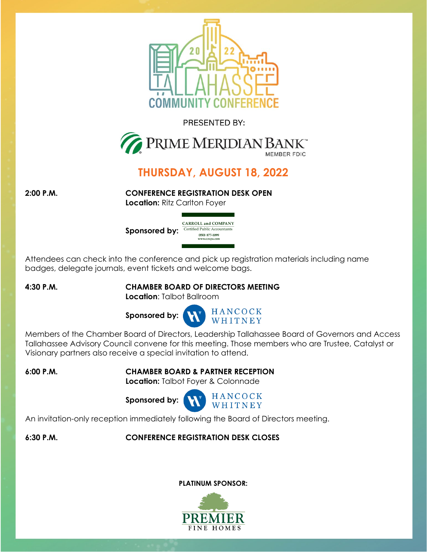

# **THURSDAY, AUGUST 18, 2022**

**2:00 P.M. CONFERENCE REGISTRATION DESK OPEN**

**Location:** Ritz Carlton Foyer



Attendees can check into the conference and pick up registration materials including name badges, delegate journals, event tickets and welcome bags.

# **4:30 P.M. CHAMBER BOARD OF DIRECTORS MEETING**

**Location**: Talbot Ballroom



[Members of the Chamber Board of Directors, Leadership Tallahassee Board of Governors and Access](https://www.primemeridianbank.com/)  Tallahassee Advisory Council convene for this meeting. Those members who are Trustee, Catalyst or Visionary partners also receive a special invitation to attend.

**6:00 P.M. CHAMBER BOARD & PARTNER RECEPTION**

**Location:** Talbot Foyer & Colonnade



An invitation-only reception immediately following the Board of Directors meeting.

# **6:30 P.M. CONFERENCE REGISTRATION DESK CLOSES**

# **PLATINUM SPONSOR:**

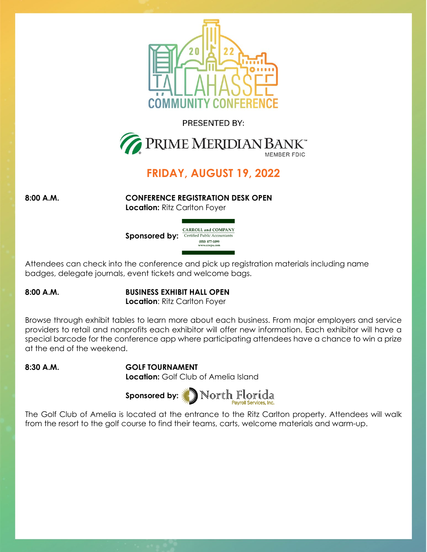

# **FRIDAY, AUGUST 19, 2022**

**8:00 A.M. CONFERENCE REGISTRATION DESK OPEN Location:** Ritz Carlton Foyer



Attendees can check into the conference and pick up registration materials including name badges, delegate journals, event tickets and welcome bags.

#### **8:00 A.M. BUSINESS EXHIBIT HALL OPEN Location: Ritz Carlton Foyer**

Browse through exhibit tables to learn more about each business. From major employers and service providers to retail and nonprofits each exhibitor will offer new information. Each exhibitor will have a special barcode for the conference app where participating attendees have a chance to win a prize at the end of the weekend.

# **8:30 A.M. GOLF TOURNAMENT**

**Location:** Golf Club of Amelia Island



The Golf Club of Amelia is located at the entrance to the Ritz Carlton property. Attendees will walk from the resort to the golf course to find their teams, carts, welcome materials and warm-up.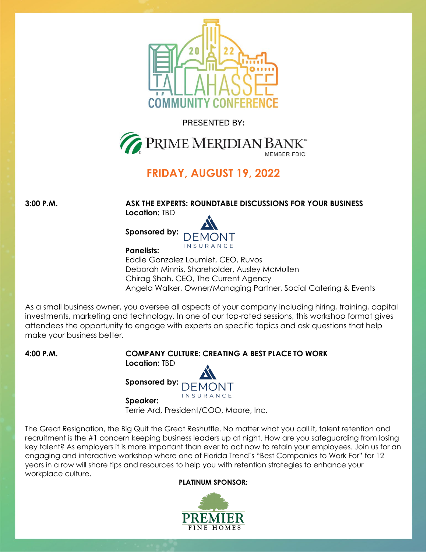

# **FRIDAY, AUGUST 19, 2022**

**3:00 P.M. ASK THE EXPERTS: ROUNDTABLE DISCUSSIONS FOR YOUR BUSINESS Location:** TBD



**Panelists:**

Eddie Gonzalez Loumiet, CEO, Ruvos Deborah Minnis, Shareholder, Ausley McMullen Chirag Shah, CEO, The Current Agency Angela Walker, Owner/Managing Partner, Social Catering & Events

As a small business owner, you oversee all aspects of your company including hiring, training, capital investments, marketing and technology. In one of our top-rated sessions, this workshop format gives attendees the opportunity to engage with experts on specific topics and ask questions that help make your business better.

# **4:00 P.M. COMPANY CULTURE: CREATING A BEST PLACE TO WORK**

**Location:** TBD



**Speaker:**

Terrie Ard, President/COO, Moore, Inc.

The Great Resignation, the Big Quit the Great Reshuffle. No matter what you call it, talent retention and recruitment is the #1 concern keeping business leaders up at night. How are you safeguarding from losing key talent? As employers it is more important than ever to act now to retain your employees. Join us for an engaging and interactive workshop where one of Florida Trend's "Best Companies to Work For" for 12 years in a row will share tips and resources to help you with retention strategies to enhance your workplace culture.

#### **PLATINUM SPONSOR:**

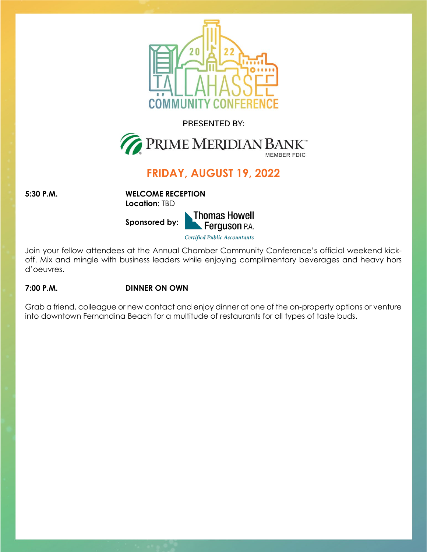

# **FRIDAY, AUGUST 19, 2022**

**5:30 P.M. WELCOME RECEPTION Location**: TBD

**Sponsored by:** 



**Certified Public Accountants** 

Join your fellow attendees at the Annual Chamber Community Conference's official weekend kickoff. Mix and mingle with business leaders while enjoying complimentary beverages and heavy hors d'oeuvres.

# **7:00 P.M. DINNER ON OWN**

Grab a friend, colleague or new contact and enjoy dinner at one of the on-property options or venture into downtown Fernandina Beach for a multitude of restaurants for all types of taste buds.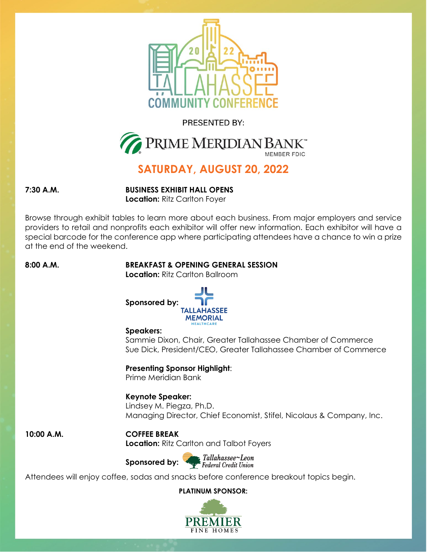



# **SATURDAY, AUGUST 20, 2022**

**7:30 A.M. BUSINESS EXHIBIT HALL OPENS Location:** Ritz Carlton Foyer

Browse through exhibit tables to learn more about each business. From major employers and service providers to retail and nonprofits each exhibitor will offer new information. Each exhibitor will have a special barcode for the conference app where participating attendees have a chance to win a prize at the end of the weekend.

# **8:00 A.M. BREAKFAST & OPENING GENERAL SESSION**

**Location:** Ritz Carlton Ballroom



#### **Speakers:**

Sammie Dixon, Chair, Greater Tallahassee Chamber of Commerce Sue Dick, President/CEO, Greater Tallahassee Chamber of Commerce

# **Presenting Sponsor Highlight**:

Prime Meridian Bank

# **Keynote Speaker:**

Lindsey M. Piegza, Ph.D. Managing Director, Chief Economist, Stifel, Nicolaus & Company, Inc.

# **10:00 A.M. COFFEE BREAK**

**Location:** Ritz [Carlton and Talbot](https://www.tlfcu.org/) Foyers

**Sponsored by:** 

Tallahassee~Leon Federal Credit Union

Attendees will enjoy coffee, sodas and snacks before conference breakout topics begin.

**PLATINUM SPONSOR:**

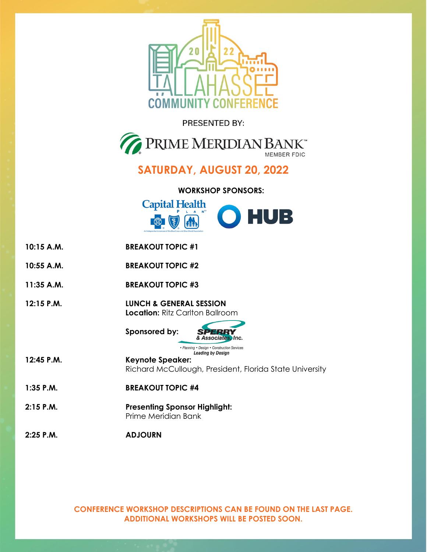20



# **SATURDAY, AUGUST 20, 2022**

## **WORKSHOP SPONSORS:**



**10:15 A.M. BREAKOUT TOPIC #1 10:55 A.M. BREAKOUT TOPIC #2 11:35 A.M. BREAKOUT TOPIC #3 12:15 P.M. LUNCH & GENERAL SESSION Location:** Ritz Carlton Ballroom **Sponsored by[:](https://www.sperryconstruction.com/)**  & Associates, Inc. • Planning • Design • Construction Services **Leading by Design 12:45 P.M. Keynote Speaker:** Richard McCullough, President, Florida State University **1:35 P.M. BREAKOUT TOPIC #4 2:15 P.M. Presenting Sponsor Highlight:** Prime Meridian Bank **2:25 P.M. ADJOURN**

> **CONFERENCE WORKSHOP DESCRIPTIONS CAN BE FOUND ON THE LAST PAGE. ADDITIONAL WORKSHOPS WILL BE POSTED SOON.**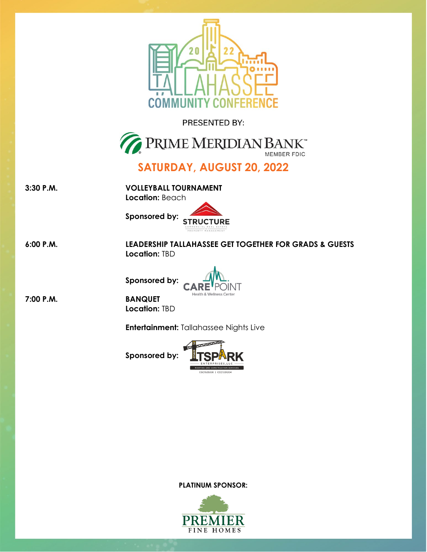$20 \,$ 



# **SATURDAY, AUGUST 20, 2022**

**3:30 P.M. VOLLEYBALL TOURNAMENT**

**COMM** 

**Location:** Beac[h](https://www.structureiq.net/)



**6:00 P.M. LEADERSHIP TALLAHASSEE GET TOGETHER FOR GRADS & GUESTS Location:** TBD



**Sponsored by:**



**Location:** TBD

**Entertainment:** [Tallahassee Nights](https://tsparkconstruction.com/) Live

**Sponsored by:**



**PLATINUM SPONSOR:**



**7:00 P.M. BANQUET**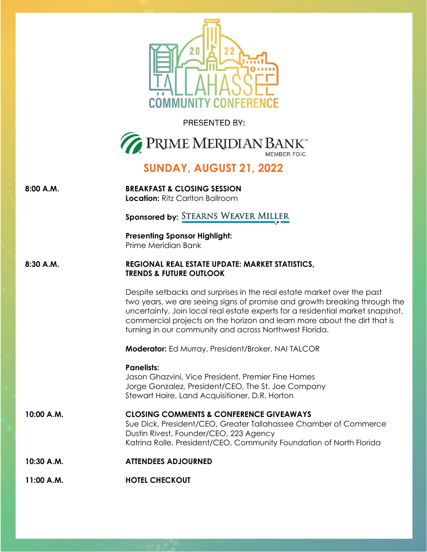PRESENTED BY: **PRIME MERIDIAN BANK SUNDAY, AUGUST 21, 2022 8:00 A.M. BREAKFAST & CLOSING SESSION Location:** Ritz Carlton Ballroom **Sponsored by: STEARNS WEAVER MILLER Presenting Sponsor Highlight:** Prime Meridian Bank **8:30 A.M. REGIONAL REAL ESTATE UPDATE: MARKET STATISTICS, TRENDS & FUTURE OUTLOOK** Despite setbacks and surprises in the real estate market over the past two years, we are seeing signs of promise and growth breaking through the uncertainty. Join local real estate experts for a residential market snapshot,

**Moderator:** Ed Murray, President/Broker, NAI TALCOR

turning in our community and across Northwest Florida.

commercial projects on the horizon and learn more about the dirt that is

**Panelists:**

Jason Ghazvini, Vice President, Premier Fine Homes Jorge Gonzalez, President/CEO, The St. Joe Company Stewart Haire, Land Acquisitioner, D.R. Horton

**10:00 A.M. CLOSING COMMENTS & CONFERENCE GIVEAWAYS** Sue Dick, President/CEO, Greater Tallahassee Chamber of Commerce Dustin Rivest, Founder/CEO, 223 Agency Katrina Rolle, President/CEO, Community Foundation of North Florida

- **10:30 A.M. ATTENDEES ADJOURNED**
- **11:00 A.M. HOTEL CHECKOUT**